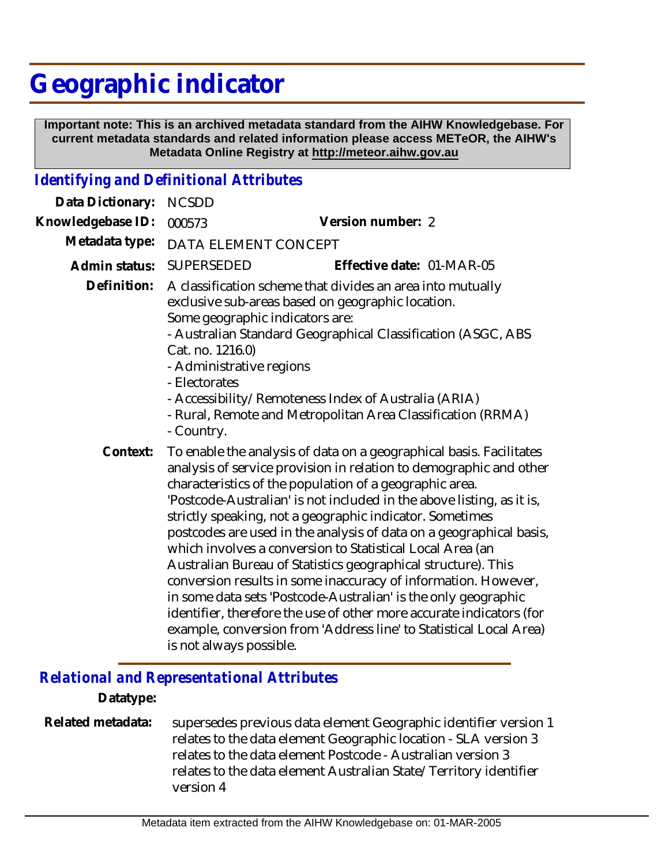## **Geographic indicator**

 **Important note: This is an archived metadata standard from the AIHW Knowledgebase. For current metadata standards and related information please access METeOR, the AIHW's Metadata Online Registry at http://meteor.aihw.gov.au**

## *Identifying and Definitional Attributes*

| Data Dictionary:  | <b>NCSDD</b>                                                                                                                                                                                                                                                                                                                                                                                                                                                                                                                                                                                                                                                                                                                                                                                                                                                |                           |
|-------------------|-------------------------------------------------------------------------------------------------------------------------------------------------------------------------------------------------------------------------------------------------------------------------------------------------------------------------------------------------------------------------------------------------------------------------------------------------------------------------------------------------------------------------------------------------------------------------------------------------------------------------------------------------------------------------------------------------------------------------------------------------------------------------------------------------------------------------------------------------------------|---------------------------|
| Knowledgebase ID: | 000573                                                                                                                                                                                                                                                                                                                                                                                                                                                                                                                                                                                                                                                                                                                                                                                                                                                      | Version number: 2         |
| Metadata type:    | DATA ELEMENT CONCEPT                                                                                                                                                                                                                                                                                                                                                                                                                                                                                                                                                                                                                                                                                                                                                                                                                                        |                           |
| Admin status:     | <b>SUPERSEDED</b>                                                                                                                                                                                                                                                                                                                                                                                                                                                                                                                                                                                                                                                                                                                                                                                                                                           | Effective date: 01-MAR-05 |
| Definition:       | A classification scheme that divides an area into mutually<br>exclusive sub-areas based on geographic location.<br>Some geographic indicators are:<br>- Australian Standard Geographical Classification (ASGC, ABS<br>Cat. no. 1216.0)<br>- Administrative regions<br>- Electorates<br>- Accessibility/Remoteness Index of Australia (ARIA)<br>- Rural, Remote and Metropolitan Area Classification (RRMA)<br>- Country.                                                                                                                                                                                                                                                                                                                                                                                                                                    |                           |
| Context:          | To enable the analysis of data on a geographical basis. Facilitates<br>analysis of service provision in relation to demographic and other<br>characteristics of the population of a geographic area.<br>'Postcode-Australian' is not included in the above listing, as it is,<br>strictly speaking, not a geographic indicator. Sometimes<br>postcodes are used in the analysis of data on a geographical basis,<br>which involves a conversion to Statistical Local Area (an<br>Australian Bureau of Statistics geographical structure). This<br>conversion results in some inaccuracy of information. However,<br>in some data sets 'Postcode-Australian' is the only geographic<br>identifier, therefore the use of other more accurate indicators (for<br>example, conversion from 'Address line' to Statistical Local Area)<br>is not always possible. |                           |

## *Relational and Representational Attributes*

## **Datatype:**

supersedes previous data element Geographic identifier version 1 relates to the data element Geographic location - SLA version 3 relates to the data element Postcode - Australian version 3 relates to the data element Australian State/Territory identifier version 4 **Related metadata:**